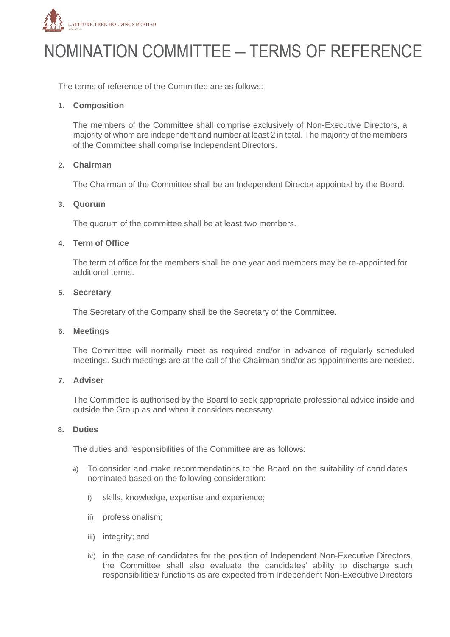

# NOMINATION COMMITTEE – TERMS OF REFERENCE

The terms of reference of the Committee are as follows:

#### **1. Composition**

The members of the Committee shall comprise exclusively of Non-Executive Directors, a majority of whom are independent and number at least 2 in total. The majority of the members of the Committee shall comprise Independent Directors.

#### **2. Chairman**

The Chairman of the Committee shall be an Independent Director appointed by the Board.

#### **3. Quorum**

The quorum of the committee shall be at least two members.

#### **4. Term of Office**

The term of office for the members shall be one year and members may be re-appointed for additional terms.

#### **5. Secretary**

The Secretary of the Company shall be the Secretary of the Committee.

#### **6. Meetings**

The Committee will normally meet as required and/or in advance of regularly scheduled meetings. Such meetings are at the call of the Chairman and/or as appointments are needed.

#### **7. Adviser**

The Committee is authorised by the Board to seek appropriate professional advice inside and outside the Group as and when it considers necessary.

#### **8. Duties**

The duties and responsibilities of the Committee are as follows:

- a) To consider and make recommendations to the Board on the suitability of candidates nominated based on the following consideration:
	- i) skills, knowledge, expertise and experience;
	- ii) professionalism;
	- iii) integrity; and
	- iv) in the case of candidates for the position of Independent Non-Executive Directors, the Committee shall also evaluate the candidates' ability to discharge such responsibilities/ functions as are expected from Independent Non-ExecutiveDirectors